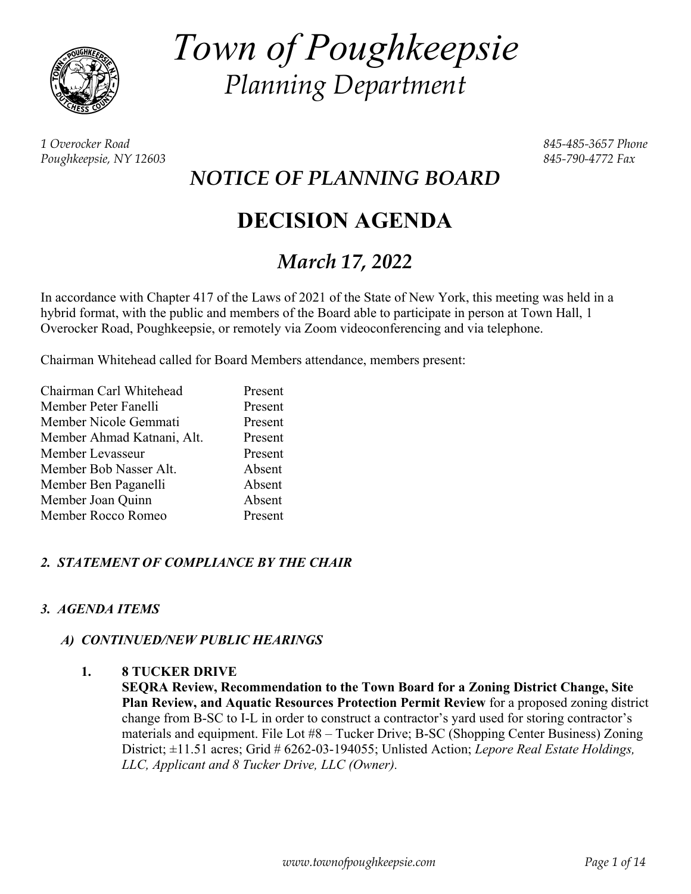

*Town of Poughkeepsie Planning Department* 

*1 Overocker Road 845-485-3657 Phone Poughkeepsie, NY 12603 845-790-4772 Fax* 

*NOTICE OF PLANNING BOARD* 

# **DECISION AGENDA**

## *March 17, 2022*

In accordance with Chapter 417 of the Laws of 2021 of the State of New York, this meeting was held in a hybrid format, with the public and members of the Board able to participate in person at Town Hall, 1 Overocker Road, Poughkeepsie, or remotely via Zoom videoconferencing and via telephone.

Chairman Whitehead called for Board Members attendance, members present:

| Chairman Carl Whitehead    | Present |
|----------------------------|---------|
| Member Peter Fanelli       | Present |
| Member Nicole Gemmati      | Present |
| Member Ahmad Katnani, Alt. | Present |
| Member Levasseur           | Present |
| Member Bob Nasser Alt.     | Absent  |
| Member Ben Paganelli       | Absent  |
| Member Joan Quinn          | Absent  |
| Member Rocco Romeo         | Present |

#### *2. STATEMENT OF COMPLIANCE BY THE CHAIR*

#### *3. AGENDA ITEMS*

#### *A) CONTINUED/NEW PUBLIC HEARINGS*

#### **1. 8 TUCKER DRIVE**

**SEQRA Review, Recommendation to the Town Board for a Zoning District Change, Site Plan Review, and Aquatic Resources Protection Permit Review** for a proposed zoning district change from B-SC to I-L in order to construct a contractor's yard used for storing contractor's materials and equipment. File Lot #8 – Tucker Drive; B-SC (Shopping Center Business) Zoning District;  $\pm$ 11.51 acres; Grid # 6262-03-194055; Unlisted Action; *Lepore Real Estate Holdings*, *LLC, Applicant and 8 Tucker Drive, LLC (Owner).*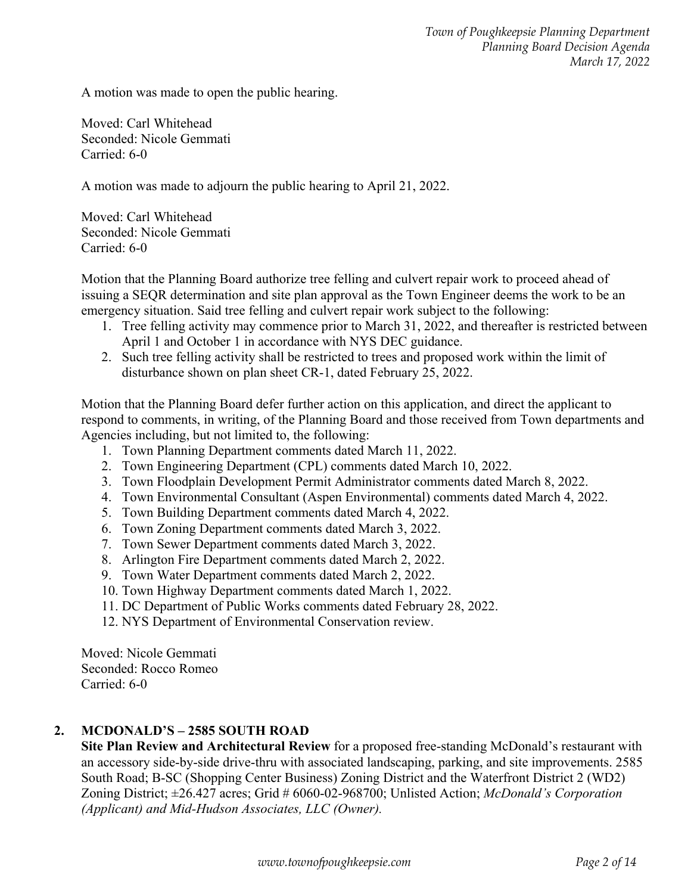A motion was made to open the public hearing.

Moved: Carl Whitehead Seconded: Nicole Gemmati Carried: 6-0

A motion was made to adjourn the public hearing to April 21, 2022.

Moved: Carl Whitehead Seconded: Nicole Gemmati Carried: 6-0

Motion that the Planning Board authorize tree felling and culvert repair work to proceed ahead of issuing a SEQR determination and site plan approval as the Town Engineer deems the work to be an emergency situation. Said tree felling and culvert repair work subject to the following:

- 1. Tree felling activity may commence prior to March 31, 2022, and thereafter is restricted between April 1 and October 1 in accordance with NYS DEC guidance.
- 2. Such tree felling activity shall be restricted to trees and proposed work within the limit of disturbance shown on plan sheet CR-1, dated February 25, 2022.

Motion that the Planning Board defer further action on this application, and direct the applicant to respond to comments, in writing, of the Planning Board and those received from Town departments and Agencies including, but not limited to, the following:

- 1. Town Planning Department comments dated March 11, 2022.
- 2. Town Engineering Department (CPL) comments dated March 10, 2022.
- 3. Town Floodplain Development Permit Administrator comments dated March 8, 2022.
- 4. Town Environmental Consultant (Aspen Environmental) comments dated March 4, 2022.
- 5. Town Building Department comments dated March 4, 2022.
- 6. Town Zoning Department comments dated March 3, 2022.
- 7. Town Sewer Department comments dated March 3, 2022.
- 8. Arlington Fire Department comments dated March 2, 2022.
- 9. Town Water Department comments dated March 2, 2022.
- 10. Town Highway Department comments dated March 1, 2022.
- 11. DC Department of Public Works comments dated February 28, 2022.
- 12. NYS Department of Environmental Conservation review.

Moved: Nicole Gemmati Seconded: Rocco Romeo Carried: 6-0

#### **2. MCDONALD'S – 2585 SOUTH ROAD**

**Site Plan Review and Architectural Review** for a proposed free-standing McDonald's restaurant with an accessory side-by-side drive-thru with associated landscaping, parking, and site improvements. 2585 South Road; B-SC (Shopping Center Business) Zoning District and the Waterfront District 2 (WD2) Zoning District; ±26.427 acres; Grid # 6060-02-968700; Unlisted Action; *McDonald's Corporation (Applicant) and Mid-Hudson Associates, LLC (Owner).*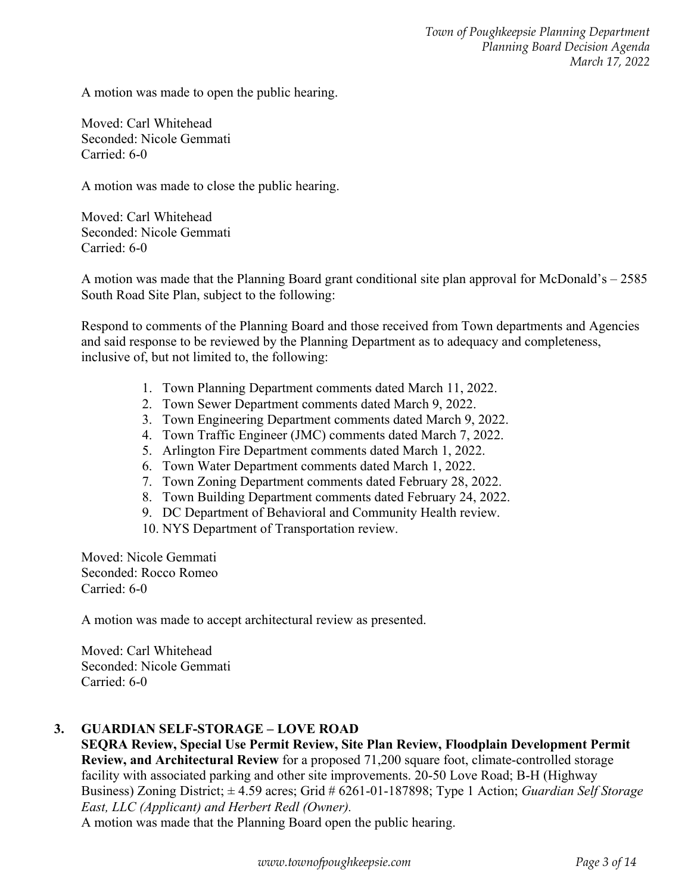A motion was made to open the public hearing.

Moved: Carl Whitehead Seconded: Nicole Gemmati Carried: 6-0

A motion was made to close the public hearing.

Moved: Carl Whitehead Seconded: Nicole Gemmati Carried: 6-0

A motion was made that the Planning Board grant conditional site plan approval for McDonald's – 2585 South Road Site Plan, subject to the following:

Respond to comments of the Planning Board and those received from Town departments and Agencies and said response to be reviewed by the Planning Department as to adequacy and completeness, inclusive of, but not limited to, the following:

- 1. Town Planning Department comments dated March 11, 2022.
- 2. Town Sewer Department comments dated March 9, 2022.
- 3. Town Engineering Department comments dated March 9, 2022.
- 4. Town Traffic Engineer (JMC) comments dated March 7, 2022.
- 5. Arlington Fire Department comments dated March 1, 2022.
- 6. Town Water Department comments dated March 1, 2022.
- 7. Town Zoning Department comments dated February 28, 2022.
- 8. Town Building Department comments dated February 24, 2022.
- 9. DC Department of Behavioral and Community Health review.
- 10. NYS Department of Transportation review.

Moved: Nicole Gemmati Seconded: Rocco Romeo Carried: 6-0

A motion was made to accept architectural review as presented.

Moved: Carl Whitehead Seconded: Nicole Gemmati Carried: 6-0

#### **3. GUARDIAN SELF-STORAGE – LOVE ROAD**

**SEQRA Review, Special Use Permit Review, Site Plan Review, Floodplain Development Permit Review, and Architectural Review** for a proposed 71,200 square foot, climate-controlled storage facility with associated parking and other site improvements. 20-50 Love Road; B-H (Highway Business) Zoning District; ± 4.59 acres; Grid # 6261-01-187898; Type 1 Action; *Guardian Self Storage East, LLC (Applicant) and Herbert Redl (Owner).*

A motion was made that the Planning Board open the public hearing.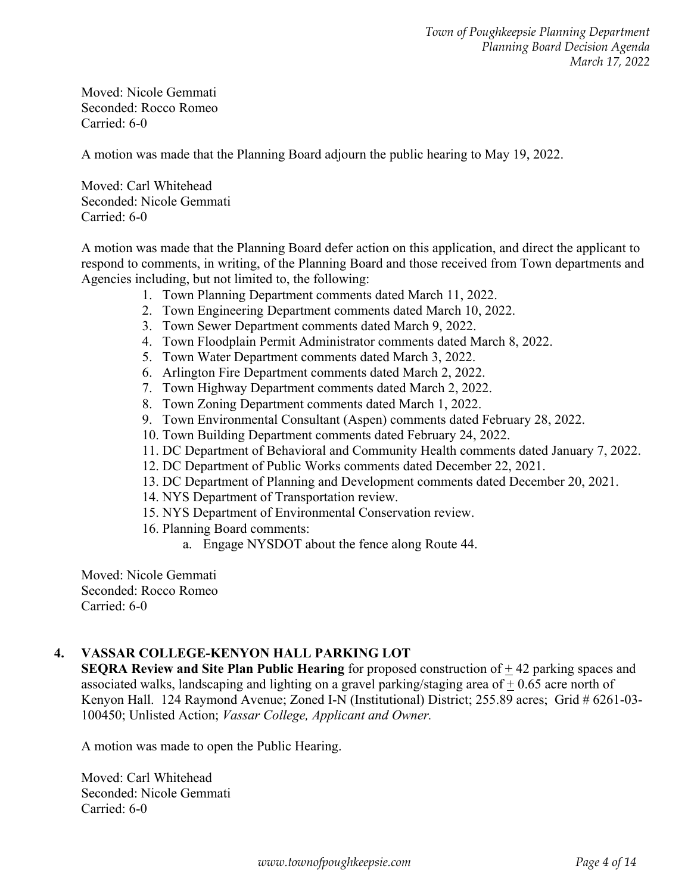Moved: Nicole Gemmati Seconded: Rocco Romeo Carried: 6-0

A motion was made that the Planning Board adjourn the public hearing to May 19, 2022.

Moved: Carl Whitehead Seconded: Nicole Gemmati Carried: 6-0

A motion was made that the Planning Board defer action on this application, and direct the applicant to respond to comments, in writing, of the Planning Board and those received from Town departments and Agencies including, but not limited to, the following:

- 1. Town Planning Department comments dated March 11, 2022.
- 2. Town Engineering Department comments dated March 10, 2022.
- 3. Town Sewer Department comments dated March 9, 2022.
- 4. Town Floodplain Permit Administrator comments dated March 8, 2022.
- 5. Town Water Department comments dated March 3, 2022.
- 6. Arlington Fire Department comments dated March 2, 2022.
- 7. Town Highway Department comments dated March 2, 2022.
- 8. Town Zoning Department comments dated March 1, 2022.
- 9. Town Environmental Consultant (Aspen) comments dated February 28, 2022.
- 10. Town Building Department comments dated February 24, 2022.
- 11. DC Department of Behavioral and Community Health comments dated January 7, 2022.
- 12. DC Department of Public Works comments dated December 22, 2021.
- 13. DC Department of Planning and Development comments dated December 20, 2021.
- 14. NYS Department of Transportation review.
- 15. NYS Department of Environmental Conservation review.
- 16. Planning Board comments:
	- a. Engage NYSDOT about the fence along Route 44.

Moved: Nicole Gemmati Seconded: Rocco Romeo Carried: 6-0

#### **4. VASSAR COLLEGE-KENYON HALL PARKING LOT**

**SEQRA Review and Site Plan Public Hearing** for proposed construction of  $\pm$  42 parking spaces and associated walks, landscaping and lighting on a gravel parking/staging area of + 0.65 acre north of Kenyon Hall. 124 Raymond Avenue; Zoned I-N (Institutional) District; 255.89 acres; Grid # 6261-03- 100450; Unlisted Action; *Vassar College, Applicant and Owner.*

A motion was made to open the Public Hearing.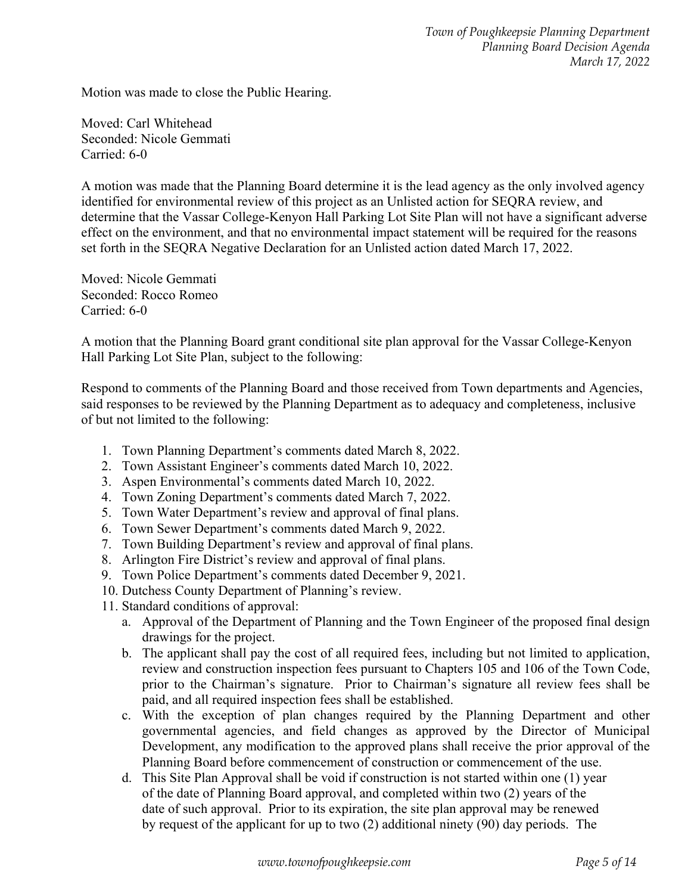Motion was made to close the Public Hearing.

Moved: Carl Whitehead Seconded: Nicole Gemmati Carried: 6-0

A motion was made that the Planning Board determine it is the lead agency as the only involved agency identified for environmental review of this project as an Unlisted action for SEQRA review, and determine that the Vassar College-Kenyon Hall Parking Lot Site Plan will not have a significant adverse effect on the environment, and that no environmental impact statement will be required for the reasons set forth in the SEQRA Negative Declaration for an Unlisted action dated March 17, 2022.

Moved: Nicole Gemmati Seconded: Rocco Romeo Carried: 6-0

A motion that the Planning Board grant conditional site plan approval for the Vassar College-Kenyon Hall Parking Lot Site Plan, subject to the following:

Respond to comments of the Planning Board and those received from Town departments and Agencies, said responses to be reviewed by the Planning Department as to adequacy and completeness, inclusive of but not limited to the following:

- 1. Town Planning Department's comments dated March 8, 2022.
- 2. Town Assistant Engineer's comments dated March 10, 2022.
- 3. Aspen Environmental's comments dated March 10, 2022.
- 4. Town Zoning Department's comments dated March 7, 2022.
- 5. Town Water Department's review and approval of final plans.
- 6. Town Sewer Department's comments dated March 9, 2022.
- 7. Town Building Department's review and approval of final plans.
- 8. Arlington Fire District's review and approval of final plans.
- 9. Town Police Department's comments dated December 9, 2021.
- 10. Dutchess County Department of Planning's review.
- 11. Standard conditions of approval:
	- a. Approval of the Department of Planning and the Town Engineer of the proposed final design drawings for the project.
	- b. The applicant shall pay the cost of all required fees, including but not limited to application, review and construction inspection fees pursuant to Chapters 105 and 106 of the Town Code, prior to the Chairman's signature. Prior to Chairman's signature all review fees shall be paid, and all required inspection fees shall be established.
	- c. With the exception of plan changes required by the Planning Department and other governmental agencies, and field changes as approved by the Director of Municipal Development, any modification to the approved plans shall receive the prior approval of the Planning Board before commencement of construction or commencement of the use.
	- d. This Site Plan Approval shall be void if construction is not started within one (1) year of the date of Planning Board approval, and completed within two (2) years of the date of such approval. Prior to its expiration, the site plan approval may be renewed by request of the applicant for up to two (2) additional ninety (90) day periods. The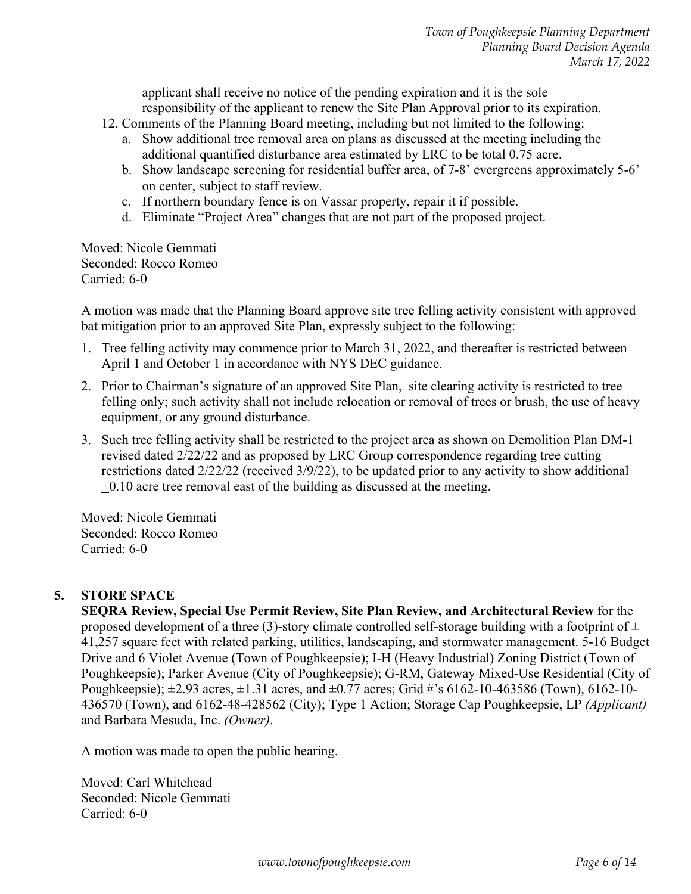applicant shall receive no notice of the pending expiration and it is the sole responsibility of the applicant to renew the Site Plan Approval prior to its expiration.

- 12. Comments of the Planning Board meeting, including but not limited to the following:
	- a. Show additional tree removal area on plans as discussed at the meeting including the additional quantified disturbance area estimated by LRC to be total 0.75 acre.
	- b. Show landscape screening for residential buffer area, of 7-8' evergreens approximately 5-6' on center, subject to staff review.
	- c. If northern boundary fence is on Vassar property, repair it if possible.
	- d. Eliminate "Project Area" changes that are not part of the proposed project.

Moved: Nicole Gemmati Seconded: Rocco Romeo Carried: 6-0

A motion was made that the Planning Board approve site tree felling activity consistent with approved bat mitigation prior to an approved Site Plan, expressly subject to the following:

- 1. Tree felling activity may commence prior to March 31, 2022, and thereafter is restricted between April 1 and October 1 in accordance with NYS DEC guidance.
- 2. Prior to Chairman's signature of an approved Site Plan, site clearing activity is restricted to tree felling only; such activity shall not include relocation or removal of trees or brush, the use of heavy equipment, or any ground disturbance.
- 3. Such tree felling activity shall be restricted to the project area as shown on Demolition Plan DM-1 revised dated 2/22/22 and as proposed by LRC Group correspondence regarding tree cutting restrictions dated 2/22/22 (received 3/9/22), to be updated prior to any activity to show additional +0.10 acre tree removal east of the building as discussed at the meeting.

Moved: Nicole Gemmati Seconded: Rocco Romeo Carried: 6-0

## **5. STORE SPACE**

**SEQRA Review, Special Use Permit Review, Site Plan Review, and Architectural Review** for the proposed development of a three (3)-story climate controlled self-storage building with a footprint of  $\pm$ 41,257 square feet with related parking, utilities, landscaping, and stormwater management. 5-16 Budget Drive and 6 Violet Avenue (Town of Poughkeepsie); I-H (Heavy Industrial) Zoning District (Town of Poughkeepsie); Parker Avenue (City of Poughkeepsie); G-RM, Gateway Mixed-Use Residential (City of Poughkeepsie); ±2.93 acres, ±1.31 acres, and ±0.77 acres; Grid #'s 6162-10-463586 (Town), 6162-10- 436570 (Town), and 6162-48-428562 (City); Type 1 Action; Storage Cap Poughkeepsie, LP *(Applicant)* and Barbara Mesuda, Inc. *(Owner)*.

A motion was made to open the public hearing.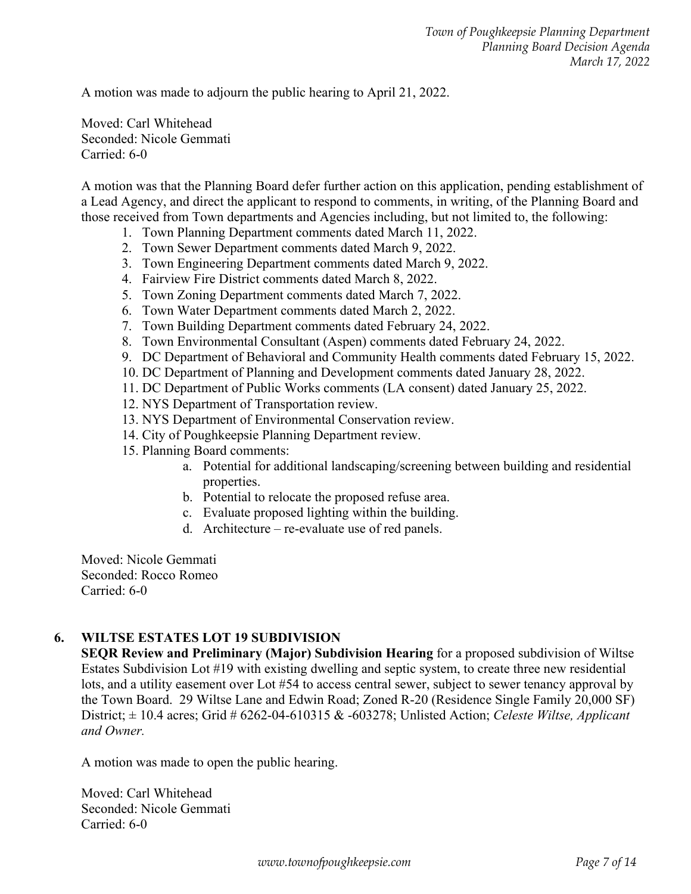A motion was made to adjourn the public hearing to April 21, 2022.

Moved: Carl Whitehead Seconded: Nicole Gemmati Carried: 6-0

A motion was that the Planning Board defer further action on this application, pending establishment of a Lead Agency, and direct the applicant to respond to comments, in writing, of the Planning Board and those received from Town departments and Agencies including, but not limited to, the following:

- 1. Town Planning Department comments dated March 11, 2022.
- 2. Town Sewer Department comments dated March 9, 2022.
- 3. Town Engineering Department comments dated March 9, 2022.
- 4. Fairview Fire District comments dated March 8, 2022.
- 5. Town Zoning Department comments dated March 7, 2022.
- 6. Town Water Department comments dated March 2, 2022.
- 7. Town Building Department comments dated February 24, 2022.
- 8. Town Environmental Consultant (Aspen) comments dated February 24, 2022.
- 9. DC Department of Behavioral and Community Health comments dated February 15, 2022.
- 10. DC Department of Planning and Development comments dated January 28, 2022.
- 11. DC Department of Public Works comments (LA consent) dated January 25, 2022.
- 12. NYS Department of Transportation review.
- 13. NYS Department of Environmental Conservation review.
- 14. City of Poughkeepsie Planning Department review.
- 15. Planning Board comments:
	- a. Potential for additional landscaping/screening between building and residential properties.
	- b. Potential to relocate the proposed refuse area.
	- c. Evaluate proposed lighting within the building.
	- d. Architecture re-evaluate use of red panels.

Moved: Nicole Gemmati Seconded: Rocco Romeo Carried: 6-0

#### **6. WILTSE ESTATES LOT 19 SUBDIVISION**

**SEQR Review and Preliminary (Major) Subdivision Hearing** for a proposed subdivision of Wiltse Estates Subdivision Lot #19 with existing dwelling and septic system, to create three new residential lots, and a utility easement over Lot #54 to access central sewer, subject to sewer tenancy approval by the Town Board. 29 Wiltse Lane and Edwin Road; Zoned R-20 (Residence Single Family 20,000 SF) District; ± 10.4 acres; Grid # 6262-04-610315 & -603278; Unlisted Action; *Celeste Wiltse, Applicant and Owner.*

A motion was made to open the public hearing.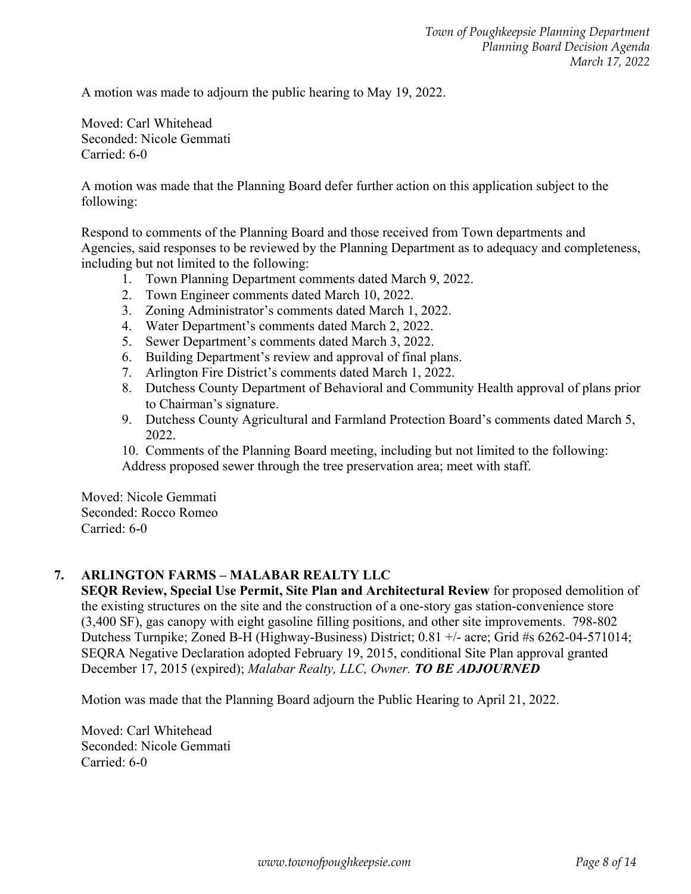A motion was made to adjourn the public hearing to May 19, 2022.

Moved: Carl Whitehead Seconded: Nicole Gemmati Carried: 6-0

A motion was made that the Planning Board defer further action on this application subject to the following:

 Respond to comments of the Planning Board and those received from Town departments and Agencies, said responses to be reviewed by the Planning Department as to adequacy and completeness, including but not limited to the following:

- 1. Town Planning Department comments dated March 9, 2022.
- 2. Town Engineer comments dated March 10, 2022.
- 3. Zoning Administrator's comments dated March 1, 2022.
- 4. Water Department's comments dated March 2, 2022.
- 5. Sewer Department's comments dated March 3, 2022.
- 6. Building Department's review and approval of final plans.
- 7. Arlington Fire District's comments dated March 1, 2022.
- 8. Dutchess County Department of Behavioral and Community Health approval of plans prior to Chairman's signature.
- 9. Dutchess County Agricultural and Farmland Protection Board's comments dated March 5, 2022.
- 10. Comments of the Planning Board meeting, including but not limited to the following: Address proposed sewer through the tree preservation area; meet with staff.

 Moved: Nicole Gemmati Seconded: Rocco Romeo Carried: 6-0

## **7. ARLINGTON FARMS – MALABAR REALTY LLC**

**SEQR Review, Special Use Permit, Site Plan and Architectural Review** for proposed demolition of the existing structures on the site and the construction of a one-story gas station-convenience store (3,400 SF), gas canopy with eight gasoline filling positions, and other site improvements. 798-802 Dutchess Turnpike; Zoned B-H (Highway-Business) District; 0.81 +/- acre; Grid #s 6262-04-571014; SEQRA Negative Declaration adopted February 19, 2015, conditional Site Plan approval granted December 17, 2015 (expired); *Malabar Realty, LLC, Owner. TO BE ADJOURNED* 

Motion was made that the Planning Board adjourn the Public Hearing to April 21, 2022.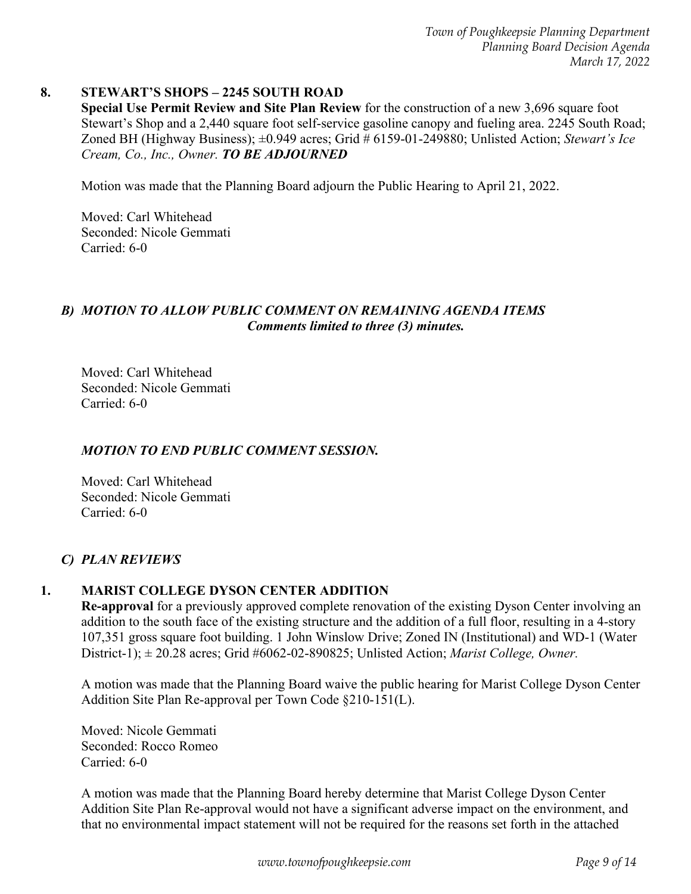#### **8. STEWART'S SHOPS – 2245 SOUTH ROAD**

**Special Use Permit Review and Site Plan Review** for the construction of a new 3,696 square foot Stewart's Shop and a 2,440 square foot self-service gasoline canopy and fueling area. 2245 South Road; Zoned BH (Highway Business); ±0.949 acres; Grid # 6159-01-249880; Unlisted Action; *Stewart's Ice Cream, Co., Inc., Owner. TO BE ADJOURNED* 

Motion was made that the Planning Board adjourn the Public Hearing to April 21, 2022.

 Moved: Carl Whitehead Seconded: Nicole Gemmati Carried: 6-0

#### *B) MOTION TO ALLOW PUBLIC COMMENT ON REMAINING AGENDA ITEMS Comments limited to three (3) minutes.*

 Moved: Carl Whitehead Seconded: Nicole Gemmati Carried: 6-0

#### *MOTION TO END PUBLIC COMMENT SESSION.*

 Moved: Carl Whitehead Seconded: Nicole Gemmati Carried: 6-0

#### *C) PLAN REVIEWS*

#### **1. MARIST COLLEGE DYSON CENTER ADDITION**

**Re-approval** for a previously approved complete renovation of the existing Dyson Center involving an addition to the south face of the existing structure and the addition of a full floor, resulting in a 4-story 107,351 gross square foot building. 1 John Winslow Drive; Zoned IN (Institutional) and WD-1 (Water District-1); ± 20.28 acres; Grid #6062-02-890825; Unlisted Action; *Marist College, Owner.* 

A motion was made that the Planning Board waive the public hearing for Marist College Dyson Center Addition Site Plan Re-approval per Town Code §210-151(L).

Moved: Nicole Gemmati Seconded: Rocco Romeo Carried: 6-0

A motion was made that the Planning Board hereby determine that Marist College Dyson Center Addition Site Plan Re-approval would not have a significant adverse impact on the environment, and that no environmental impact statement will not be required for the reasons set forth in the attached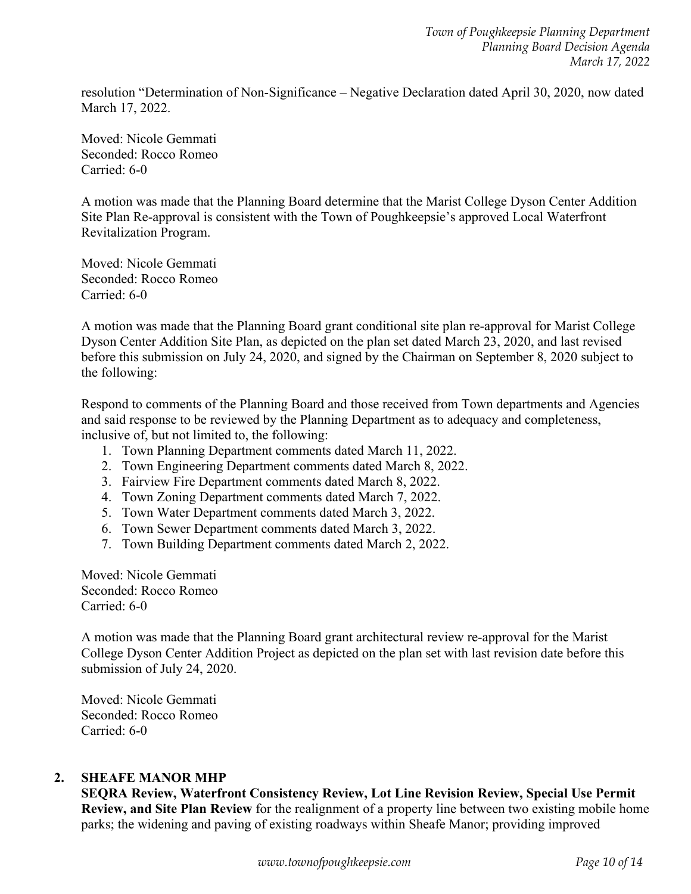resolution "Determination of Non-Significance – Negative Declaration dated April 30, 2020, now dated March 17, 2022.

Moved: Nicole Gemmati Seconded: Rocco Romeo Carried: 6-0

A motion was made that the Planning Board determine that the Marist College Dyson Center Addition Site Plan Re-approval is consistent with the Town of Poughkeepsie's approved Local Waterfront Revitalization Program.

Moved: Nicole Gemmati Seconded: Rocco Romeo Carried: 6-0

A motion was made that the Planning Board grant conditional site plan re-approval for Marist College Dyson Center Addition Site Plan, as depicted on the plan set dated March 23, 2020, and last revised before this submission on July 24, 2020, and signed by the Chairman on September 8, 2020 subject to the following:

Respond to comments of the Planning Board and those received from Town departments and Agencies and said response to be reviewed by the Planning Department as to adequacy and completeness, inclusive of, but not limited to, the following:

- 1. Town Planning Department comments dated March 11, 2022.
- 2. Town Engineering Department comments dated March 8, 2022.
- 3. Fairview Fire Department comments dated March 8, 2022.
- 4. Town Zoning Department comments dated March 7, 2022.
- 5. Town Water Department comments dated March 3, 2022.
- 6. Town Sewer Department comments dated March 3, 2022.
- 7. Town Building Department comments dated March 2, 2022.

Moved: Nicole Gemmati Seconded: Rocco Romeo Carried: 6-0

A motion was made that the Planning Board grant architectural review re-approval for the Marist College Dyson Center Addition Project as depicted on the plan set with last revision date before this submission of July 24, 2020.

Moved: Nicole Gemmati Seconded: Rocco Romeo Carried: 6-0

#### **2. SHEAFE MANOR MHP**

**SEQRA Review, Waterfront Consistency Review, Lot Line Revision Review, Special Use Permit Review, and Site Plan Review** for the realignment of a property line between two existing mobile home parks; the widening and paving of existing roadways within Sheafe Manor; providing improved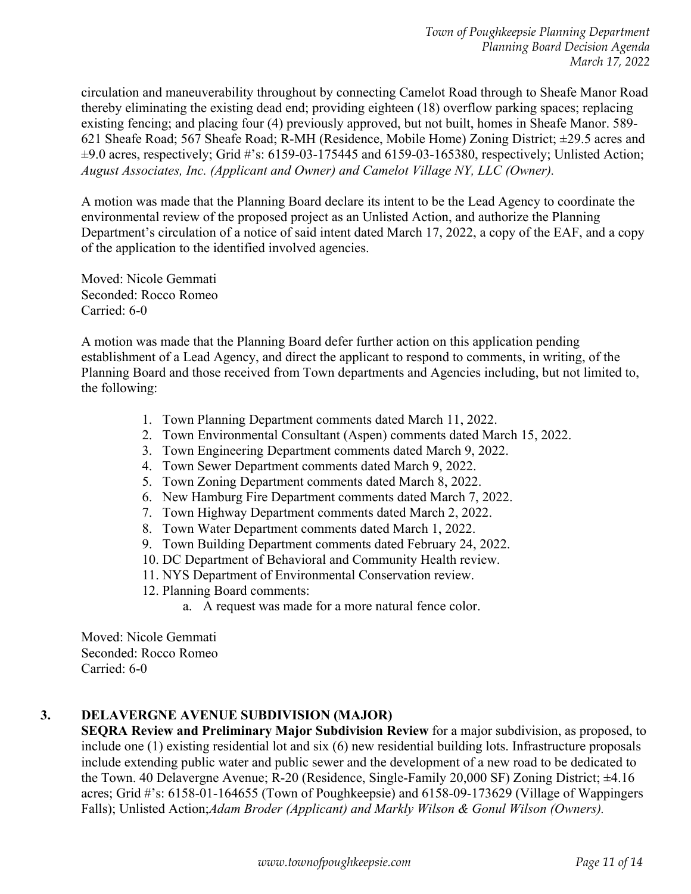circulation and maneuverability throughout by connecting Camelot Road through to Sheafe Manor Road thereby eliminating the existing dead end; providing eighteen (18) overflow parking spaces; replacing existing fencing; and placing four (4) previously approved, but not built, homes in Sheafe Manor. 589- 621 Sheafe Road; 567 Sheafe Road; R-MH (Residence, Mobile Home) Zoning District; ±29.5 acres and ±9.0 acres, respectively; Grid #'s: 6159-03-175445 and 6159-03-165380, respectively; Unlisted Action; *August Associates, Inc. (Applicant and Owner) and Camelot Village NY, LLC (Owner).*

A motion was made that the Planning Board declare its intent to be the Lead Agency to coordinate the environmental review of the proposed project as an Unlisted Action, and authorize the Planning Department's circulation of a notice of said intent dated March 17, 2022, a copy of the EAF, and a copy of the application to the identified involved agencies.

Moved: Nicole Gemmati Seconded: Rocco Romeo Carried: 6-0

A motion was made that the Planning Board defer further action on this application pending establishment of a Lead Agency, and direct the applicant to respond to comments, in writing, of the Planning Board and those received from Town departments and Agencies including, but not limited to, the following:

- 1. Town Planning Department comments dated March 11, 2022.
- 2. Town Environmental Consultant (Aspen) comments dated March 15, 2022.
- 3. Town Engineering Department comments dated March 9, 2022.
- 4. Town Sewer Department comments dated March 9, 2022.
- 5. Town Zoning Department comments dated March 8, 2022.
- 6. New Hamburg Fire Department comments dated March 7, 2022.
- 7. Town Highway Department comments dated March 2, 2022.
- 8. Town Water Department comments dated March 1, 2022.
- 9. Town Building Department comments dated February 24, 2022.
- 10. DC Department of Behavioral and Community Health review.
- 11. NYS Department of Environmental Conservation review.
- 12. Planning Board comments:
	- a. A request was made for a more natural fence color.

Moved: Nicole Gemmati Seconded: Rocco Romeo Carried: 6-0

#### **3. DELAVERGNE AVENUE SUBDIVISION (MAJOR)**

**SEQRA Review and Preliminary Major Subdivision Review** for a major subdivision, as proposed, to include one (1) existing residential lot and six (6) new residential building lots. Infrastructure proposals include extending public water and public sewer and the development of a new road to be dedicated to the Town. 40 Delavergne Avenue; R-20 (Residence, Single-Family 20,000 SF) Zoning District; ±4.16 acres; Grid #'s: 6158-01-164655 (Town of Poughkeepsie) and 6158-09-173629 (Village of Wappingers Falls); Unlisted Action;*Adam Broder (Applicant) and Markly Wilson & Gonul Wilson (Owners).*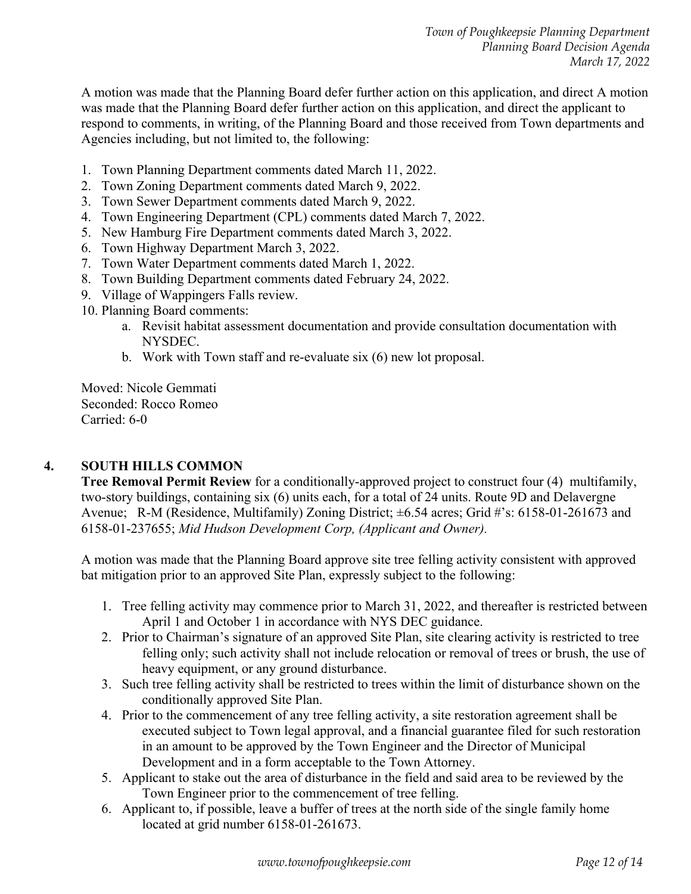A motion was made that the Planning Board defer further action on this application, and direct A motion was made that the Planning Board defer further action on this application, and direct the applicant to respond to comments, in writing, of the Planning Board and those received from Town departments and Agencies including, but not limited to, the following:

- 1. Town Planning Department comments dated March 11, 2022.
- 2. Town Zoning Department comments dated March 9, 2022.
- 3. Town Sewer Department comments dated March 9, 2022.
- 4. Town Engineering Department (CPL) comments dated March 7, 2022.
- 5. New Hamburg Fire Department comments dated March 3, 2022.
- 6. Town Highway Department March 3, 2022.
- 7. Town Water Department comments dated March 1, 2022.
- 8. Town Building Department comments dated February 24, 2022.
- 9. Village of Wappingers Falls review.
- 10. Planning Board comments:
	- a. Revisit habitat assessment documentation and provide consultation documentation with NYSDEC.
	- b. Work with Town staff and re-evaluate six (6) new lot proposal.

Moved: Nicole Gemmati Seconded: Rocco Romeo Carried: 6-0

#### **4. SOUTH HILLS COMMON**

**Tree Removal Permit Review** for a conditionally-approved project to construct four (4) multifamily, two-story buildings, containing six (6) units each, for a total of 24 units. Route 9D and Delavergne Avenue; R-M (Residence, Multifamily) Zoning District; ±6.54 acres; Grid #'s: 6158-01-261673 and 6158-01-237655; *Mid Hudson Development Corp, (Applicant and Owner).*

A motion was made that the Planning Board approve site tree felling activity consistent with approved bat mitigation prior to an approved Site Plan, expressly subject to the following:

- 1. Tree felling activity may commence prior to March 31, 2022, and thereafter is restricted between April 1 and October 1 in accordance with NYS DEC guidance.
- 2. Prior to Chairman's signature of an approved Site Plan, site clearing activity is restricted to tree felling only; such activity shall not include relocation or removal of trees or brush, the use of heavy equipment, or any ground disturbance.
- 3. Such tree felling activity shall be restricted to trees within the limit of disturbance shown on the conditionally approved Site Plan.
- 4. Prior to the commencement of any tree felling activity, a site restoration agreement shall be executed subject to Town legal approval, and a financial guarantee filed for such restoration in an amount to be approved by the Town Engineer and the Director of Municipal Development and in a form acceptable to the Town Attorney.
- 5. Applicant to stake out the area of disturbance in the field and said area to be reviewed by the Town Engineer prior to the commencement of tree felling.
- 6. Applicant to, if possible, leave a buffer of trees at the north side of the single family home located at grid number 6158-01-261673.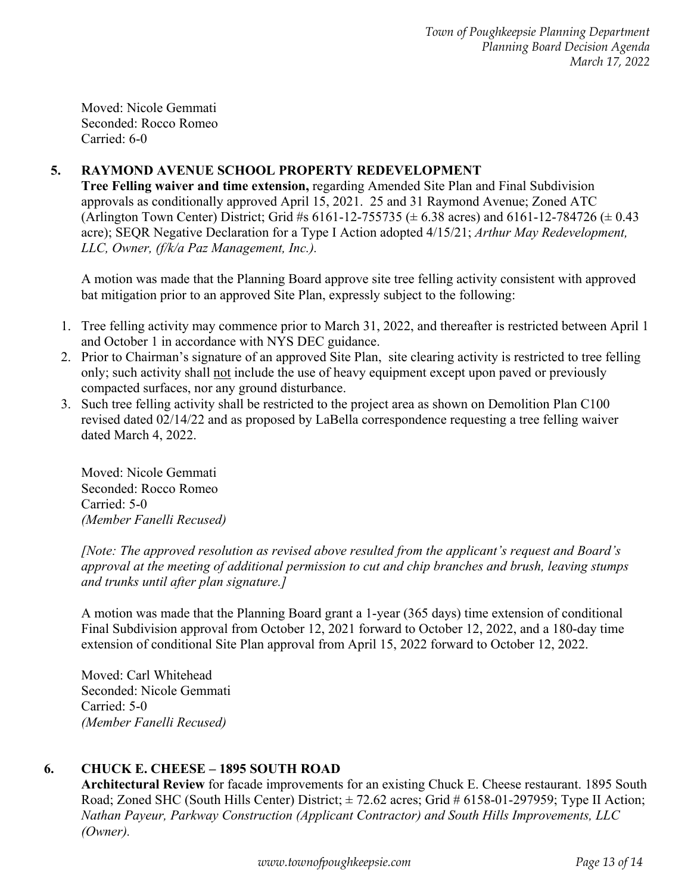Moved: Nicole Gemmati Seconded: Rocco Romeo Carried: 6-0

## **5. RAYMOND AVENUE SCHOOL PROPERTY REDEVELOPMENT**

**Tree Felling waiver and time extension,** regarding Amended Site Plan and Final Subdivision approvals as conditionally approved April 15, 2021. 25 and 31 Raymond Avenue; Zoned ATC (Arlington Town Center) District; Grid #s  $6161-12-755735 \ (\pm 6.38 \text{ acres})$  and  $6161-12-784726 \ (\pm 0.43 \text{ metres})$ acre); SEQR Negative Declaration for a Type I Action adopted 4/15/21; *Arthur May Redevelopment, LLC, Owner, (f/k/a Paz Management, Inc.).* 

A motion was made that the Planning Board approve site tree felling activity consistent with approved bat mitigation prior to an approved Site Plan, expressly subject to the following:

- 1. Tree felling activity may commence prior to March 31, 2022, and thereafter is restricted between April 1 and October 1 in accordance with NYS DEC guidance.
- 2. Prior to Chairman's signature of an approved Site Plan, site clearing activity is restricted to tree felling only; such activity shall not include the use of heavy equipment except upon paved or previously compacted surfaces, nor any ground disturbance.
- 3. Such tree felling activity shall be restricted to the project area as shown on Demolition Plan C100 revised dated 02/14/22 and as proposed by LaBella correspondence requesting a tree felling waiver dated March 4, 2022.

Moved: Nicole Gemmati Seconded: Rocco Romeo Carried: 5-0 *(Member Fanelli Recused)* 

*[Note: The approved resolution as revised above resulted from the applicant's request and Board's approval at the meeting of additional permission to cut and chip branches and brush, leaving stumps and trunks until after plan signature.]* 

A motion was made that the Planning Board grant a 1-year (365 days) time extension of conditional Final Subdivision approval from October 12, 2021 forward to October 12, 2022, and a 180-day time extension of conditional Site Plan approval from April 15, 2022 forward to October 12, 2022.

Moved: Carl Whitehead Seconded: Nicole Gemmati Carried: 5-0 *(Member Fanelli Recused)*

## **6. CHUCK E. CHEESE – 1895 SOUTH ROAD**

**Architectural Review** for facade improvements for an existing Chuck E. Cheese restaurant. 1895 South Road; Zoned SHC (South Hills Center) District;  $\pm$  72.62 acres; Grid # 6158-01-297959; Type II Action; *Nathan Payeur, Parkway Construction (Applicant Contractor) and South Hills Improvements, LLC (Owner).*